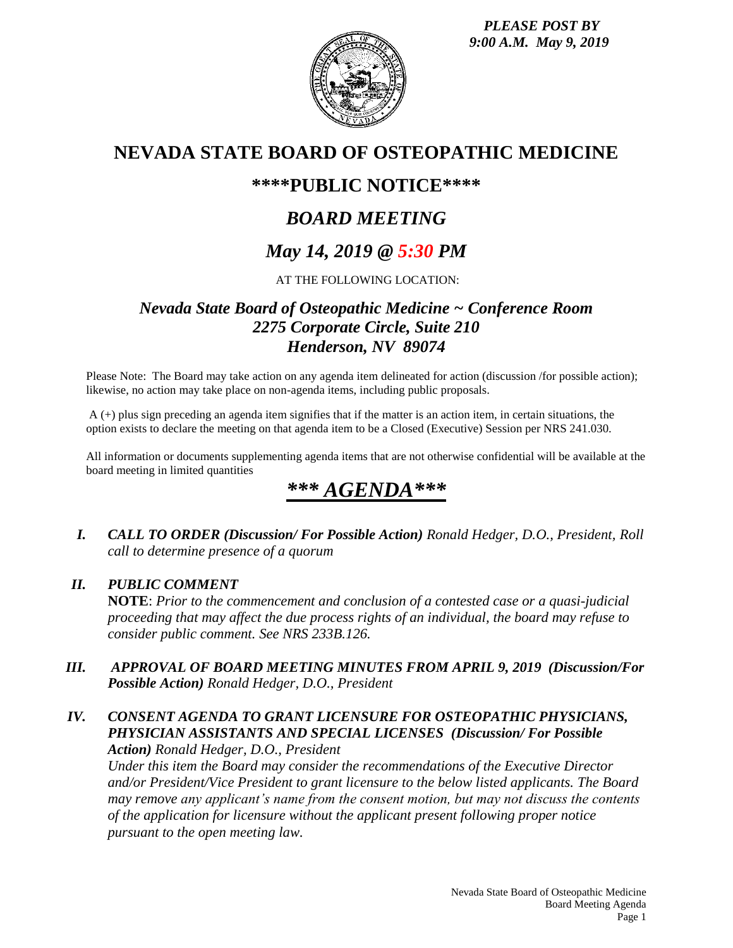*PLEASE POST BY 9:00 A.M. May 9, 2019*



## **NEVADA STATE BOARD OF OSTEOPATHIC MEDICINE**

## **\*\*\*\*PUBLIC NOTICE\*\*\*\***

# *BOARD MEETING*

# *May 14, 2019 @ 5:30 PM*

### AT THE FOLLOWING LOCATION:

## *Nevada State Board of Osteopathic Medicine ~ Conference Room 2275 Corporate Circle, Suite 210 Henderson, NV 89074*

Please Note: The Board may take action on any agenda item delineated for action (discussion /for possible action); likewise, no action may take place on non-agenda items, including public proposals.

A (+) plus sign preceding an agenda item signifies that if the matter is an action item, in certain situations, the option exists to declare the meeting on that agenda item to be a Closed (Executive) Session per NRS 241.030.

All information or documents supplementing agenda items that are not otherwise confidential will be available at the board meeting in limited quantities

# *\*\*\* AGENDA\*\*\**

*I. CALL TO ORDER (Discussion/ For Possible Action) Ronald Hedger, D.O., President, Roll call to determine presence of a quorum*

### *II. PUBLIC COMMENT*

**NOTE**: *Prior to the commencement and conclusion of a contested case or a quasi-judicial proceeding that may affect the due process rights of an individual, the board may refuse to consider public comment. See NRS 233B.126.*

*III. APPROVAL OF BOARD MEETING MINUTES FROM APRIL 9, 2019 (Discussion/For Possible Action) Ronald Hedger, D.O., President*

## *IV. CONSENT AGENDA TO GRANT LICENSURE FOR OSTEOPATHIC PHYSICIANS, PHYSICIAN ASSISTANTS AND SPECIAL LICENSES (Discussion/ For Possible*

*Action) Ronald Hedger, D.O., President*

*Under this item the Board may consider the recommendations of the Executive Director and/or President/Vice President to grant licensure to the below listed applicants. The Board may remove any applicant's name from the consent motion, but may not discuss the contents of the application for licensure without the applicant present following proper notice pursuant to the open meeting law.*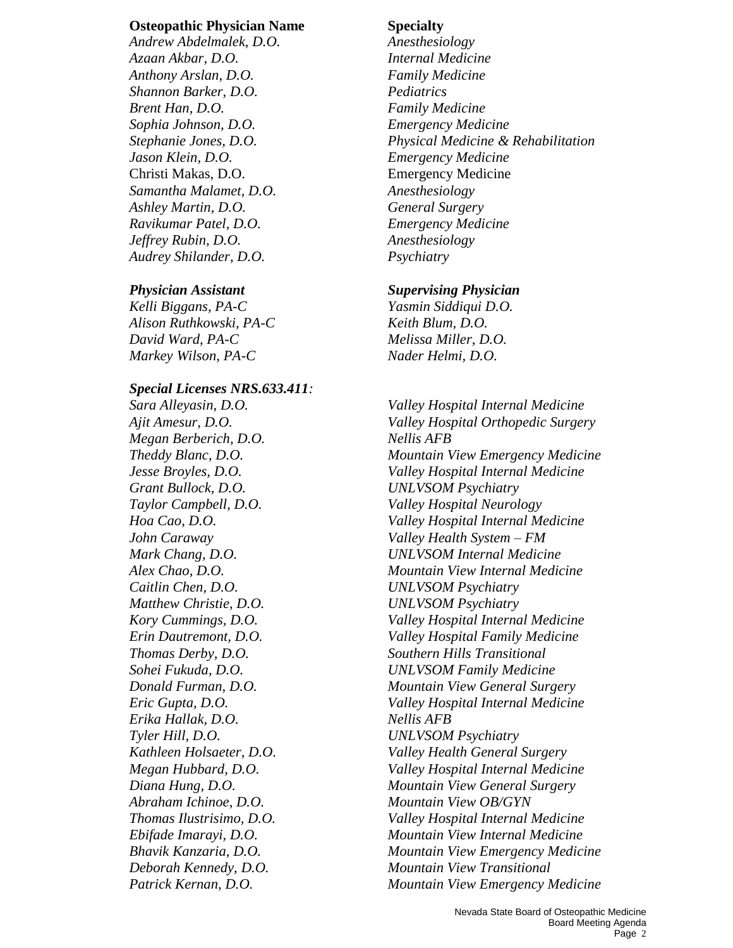#### **Osteopathic Physician Name Specialty**

*Andrew Abdelmalek, D.O. Anesthesiology Azaan Akbar, D.O. Internal Medicine Anthony Arslan, D.O. Family Medicine Shannon Barker, D.O. Pediatrics Brent Han, D.O. Family Medicine Sophia Johnson, D.O. Emergency Medicine Jason Klein, D.O. Emergency Medicine* Christi Makas, D.O. Emergency Medicine *Samantha Malamet, D.O. Anesthesiology Ashley Martin, D.O. General Surgery Ravikumar Patel, D.O. Emergency Medicine Jeffrey Rubin, D.O. Anesthesiology Audrey Shilander, D.O. Psychiatry*

*Kelli Biggans, PA-C Yasmin Siddiqui D.O. Alison Ruthkowski, PA-C Keith Blum, D.O. David Ward, PA-C Melissa Miller, D.O. Markey Wilson, PA-C Nader Helmi, D.O.*

#### *Special Licenses NRS.633.411:*

*Sara Alleyasin, D.O. Valley Hospital Internal Medicine Megan Berberich, D.O. Nellis AFB Grant Bullock, D.O. UNLVSOM Psychiatry Taylor Campbell, D.O. Valley Hospital Neurology John Caraway Valley Health System – FM Caitlin Chen, D.O. UNLVSOM Psychiatry Matthew Christie, D.O. UNLVSOM Psychiatry Thomas Derby, D.O. Southern Hills Transitional Erika Hallak, D.O. Nellis AFB Tyler Hill, D.O. UNLVSOM Psychiatry Abraham Ichinoe, D.O. Mountain View OB/GYN*

*Stephanie Jones, D.O. Physical Medicine & Rehabilitation*

#### *Physician Assistant Supervising Physician*

*Ajit Amesur, D.O. Valley Hospital Orthopedic Surgery Theddy Blanc, D.O. Mountain View Emergency Medicine Jesse Broyles, D.O. Valley Hospital Internal Medicine Hoa Cao, D.O. Valley Hospital Internal Medicine Mark Chang, D.O. UNLVSOM Internal Medicine Alex Chao, D.O. Mountain View Internal Medicine Kory Cummings, D.O. Valley Hospital Internal Medicine Erin Dautremont, D.O. Valley Hospital Family Medicine Sohei Fukuda, D.O. UNLVSOM Family Medicine Donald Furman, D.O. Mountain View General Surgery Eric Gupta, D.O. Valley Hospital Internal Medicine Kathleen Holsaeter, D.O. Valley Health General Surgery Megan Hubbard, D.O. Valley Hospital Internal Medicine Diana Hung, D.O. Mountain View General Surgery Thomas Ilustrisimo, D.O. Valley Hospital Internal Medicine Ebifade Imarayi, D.O. Mountain View Internal Medicine Bhavik Kanzaria, D.O. Mountain View Emergency Medicine Deborah Kennedy, D.O. Mountain View Transitional Patrick Kernan, D.O. Mountain View Emergency Medicine*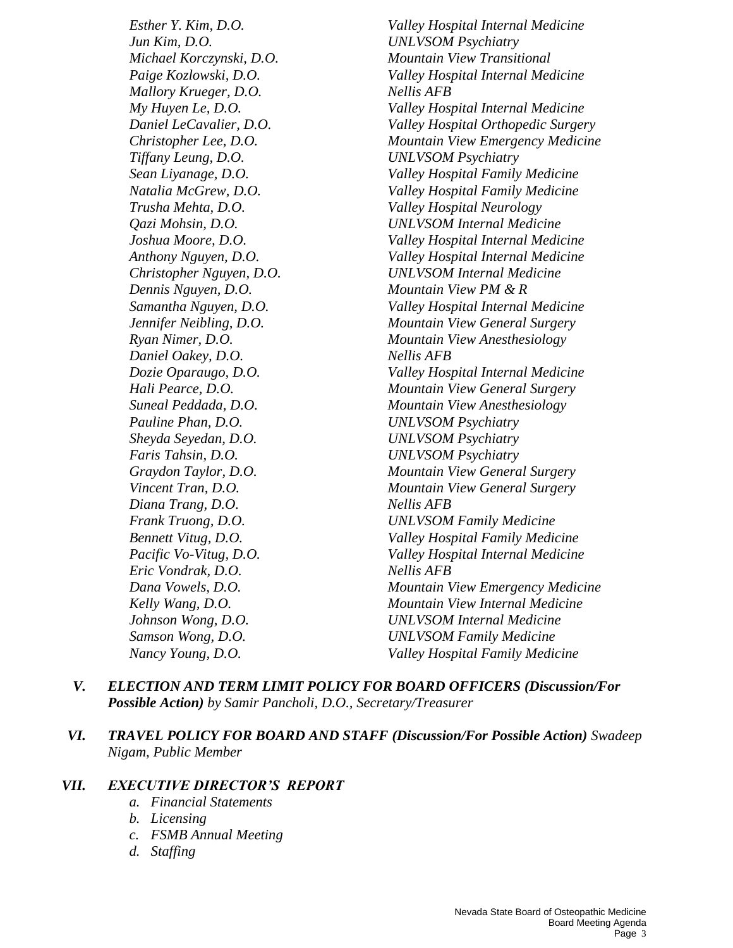*Jun Kim, D.O. UNLVSOM Psychiatry Michael Korczynski, D.O. Mountain View Transitional Mallory Krueger, D.O. Nellis AFB Tiffany Leung, D.O. UNLVSOM Psychiatry Trusha Mehta, D.O. Valley Hospital Neurology Dennis Nguyen, D.O. Mountain View PM & R Daniel Oakey, D.O. Nellis AFB Pauline Phan, D.O. UNLVSOM Psychiatry Sheyda Seyedan, D.O. UNLVSOM Psychiatry Faris Tahsin, D.O. UNLVSOM Psychiatry Diana Trang, D.O. Nellis AFB Frank Truong, D.O. UNLVSOM Family Medicine Eric Vondrak, D.O. Nellis AFB Samson Wong, D.O. UNLVSOM Family Medicine*

*Esther Y. Kim, D.O. Valley Hospital Internal Medicine Paige Kozlowski, D.O. Valley Hospital Internal Medicine My Huyen Le, D.O. Valley Hospital Internal Medicine Daniel LeCavalier, D.O. Valley Hospital Orthopedic Surgery Christopher Lee, D.O. Mountain View Emergency Medicine Sean Liyanage, D.O. Valley Hospital Family Medicine Natalia McGrew, D.O. Valley Hospital Family Medicine Qazi Mohsin, D.O. UNLVSOM Internal Medicine Joshua Moore, D.O. Valley Hospital Internal Medicine Anthony Nguyen, D.O. Valley Hospital Internal Medicine Christopher Nguyen, D.O. UNLVSOM Internal Medicine Samantha Nguyen, D.O. Valley Hospital Internal Medicine Jennifer Neibling, D.O. Mountain View General Surgery Ryan Nimer, D.O. Mountain View Anesthesiology Dozie Oparaugo, D.O. Valley Hospital Internal Medicine Hali Pearce, D.O. Mountain View General Surgery Suneal Peddada, D.O. Mountain View Anesthesiology Graydon Taylor, D.O. Mountain View General Surgery Vincent Tran, D.O. Mountain View General Surgery Bennett Vitug, D.O. Valley Hospital Family Medicine Pacific Vo-Vitug, D.O. Valley Hospital Internal Medicine Dana Vowels, D.O. Mountain View Emergency Medicine Kelly Wang, D.O. Mountain View Internal Medicine Johnson Wong, D.O. UNLVSOM Internal Medicine Nancy Young, D.O. Valley Hospital Family Medicine*

- *V. ELECTION AND TERM LIMIT POLICY FOR BOARD OFFICERS (Discussion/For Possible Action) by Samir Pancholi, D.O., Secretary/Treasurer*
- *VI. TRAVEL POLICY FOR BOARD AND STAFF (Discussion/For Possible Action) Swadeep Nigam, Public Member*

#### *VII. EXECUTIVE DIRECTOR'S REPORT*

- *a. Financial Statements*
- *b. Licensing*
- *c. FSMB Annual Meeting*
- *d. Staffing*